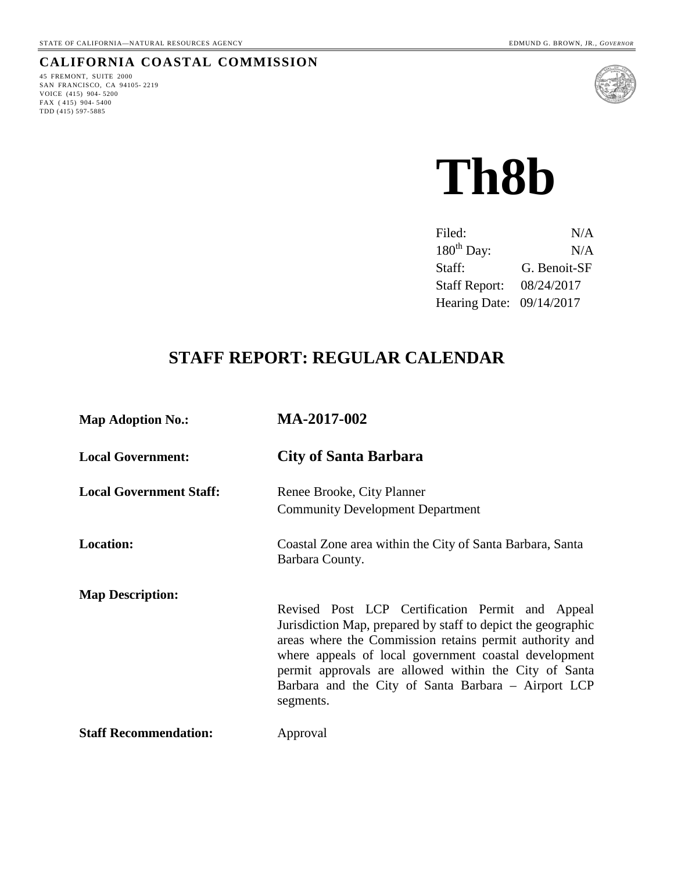#### **CALIFORNIA COASTAL COMMISSION**

45 FREMONT, SUITE 2000 SAN FRANCISCO, CA 94105- 2219 VOICE (415) 904- 5200 FAX (415) 904-5400 TDD (415) 597-5885



**Th8b**

| Filed:                   | N/A          |
|--------------------------|--------------|
| $180th$ Day:             | N/A          |
| Staff:                   | G. Benoit-SF |
| <b>Staff Report:</b>     | 08/24/2017   |
| Hearing Date: 09/14/2017 |              |

# **STAFF REPORT: REGULAR CALENDAR**

| <b>Map Adoption No.:</b>       | MA-2017-002                                                                                                                                                                                                                                                                                                                                                       |
|--------------------------------|-------------------------------------------------------------------------------------------------------------------------------------------------------------------------------------------------------------------------------------------------------------------------------------------------------------------------------------------------------------------|
| <b>Local Government:</b>       | <b>City of Santa Barbara</b>                                                                                                                                                                                                                                                                                                                                      |
| <b>Local Government Staff:</b> | Renee Brooke, City Planner<br><b>Community Development Department</b>                                                                                                                                                                                                                                                                                             |
| <b>Location:</b>               | Coastal Zone area within the City of Santa Barbara, Santa<br>Barbara County.                                                                                                                                                                                                                                                                                      |
| <b>Map Description:</b>        | Revised Post LCP Certification Permit and Appeal<br>Jurisdiction Map, prepared by staff to depict the geographic<br>areas where the Commission retains permit authority and<br>where appeals of local government coastal development<br>permit approvals are allowed within the City of Santa<br>Barbara and the City of Santa Barbara – Airport LCP<br>segments. |
| <b>Staff Recommendation:</b>   | Approval                                                                                                                                                                                                                                                                                                                                                          |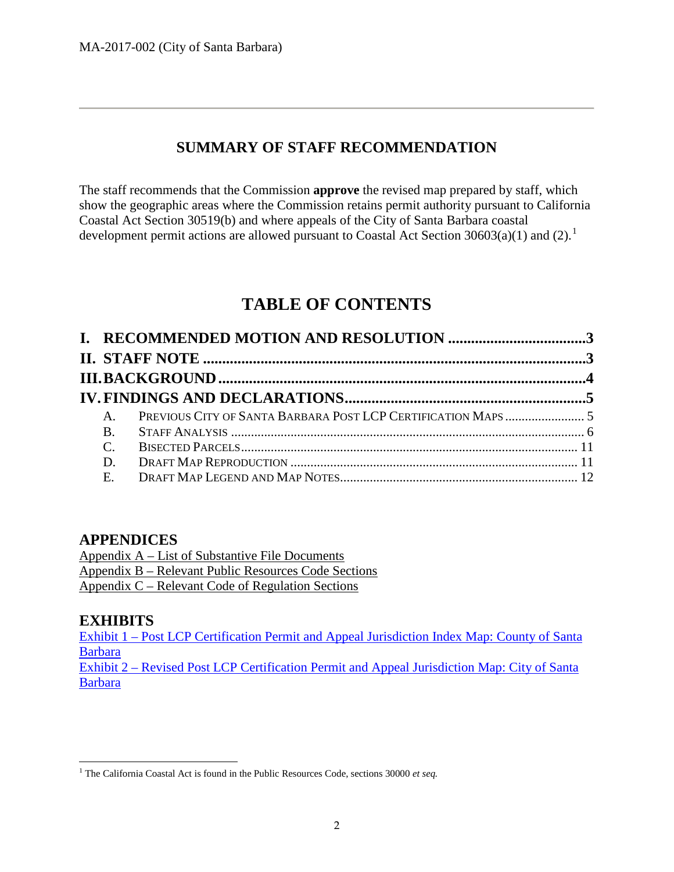## **SUMMARY OF STAFF RECOMMENDATION**

The staff recommends that the Commission **approve** the revised map prepared by staff, which show the geographic areas where the Commission retains permit authority pursuant to California Coastal Act Section 30519(b) and where appeals of the City of Santa Barbara coastal development permit actions are allowed pursuant to Coastal Act Section  $30603(a)(1)$  $30603(a)(1)$  $30603(a)(1)$  and  $(2).<sup>1</sup>$ 

# **TABLE OF CONTENTS**

| $A_{\cdot}$   |  |
|---------------|--|
| <b>B.</b>     |  |
| $\mathcal{C}$ |  |
| D.            |  |
| E.            |  |
|               |  |

## **APPENDICES**

Appendix A – [List of Substantive File Documents](#page-12-0) Appendix B – [Relevant Public Resources Code Sections](#page-13-0) Appendix C – [Relevant Code of Regulation Sections](#page-15-0)

## **EXHIBITS**

Exhibit 1 – [Post LCP Certification Permit and Appeal Jurisdiction Index Map: County of Santa](https://documents.coastal.ca.gov/reports/2017/9/Th8b/Th8b-9-2017-exhibits.pdf)  [Barbara](https://documents.coastal.ca.gov/reports/2017/9/Th8b/Th8b-9-2017-exhibits.pdf)

Exhibit 2 – [Revised Post LCP Certification Permit and Appeal Jurisdiction Map: City of Santa](https://documents.coastal.ca.gov/reports/2017/9/Th8b/Th8b-9-2017-exhibits.pdf)  [Barbara](https://documents.coastal.ca.gov/reports/2017/9/Th8b/Th8b-9-2017-exhibits.pdf)

<span id="page-1-0"></span> <sup>1</sup> The California Coastal Act is found in the Public Resources Code, sections 30000 *et seq.*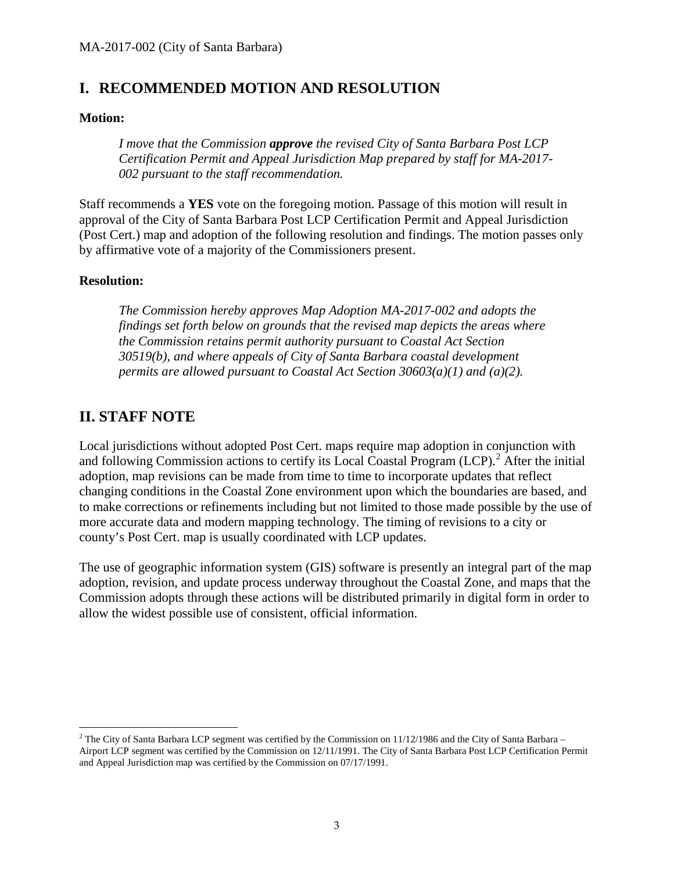## <span id="page-2-0"></span>**I. RECOMMENDED MOTION AND RESOLUTION**

#### **Motion:**

*I move that the Commission approve the revised City of Santa Barbara Post LCP Certification Permit and Appeal Jurisdiction Map prepared by staff for MA-2017- 002 pursuant to the staff recommendation.*

Staff recommends a **YES** vote on the foregoing motion. Passage of this motion will result in approval of the City of Santa Barbara Post LCP Certification Permit and Appeal Jurisdiction (Post Cert.) map and adoption of the following resolution and findings. The motion passes only by affirmative vote of a majority of the Commissioners present.

#### **Resolution:**

*The Commission hereby approves Map Adoption MA-2017-002 and adopts the findings set forth below on grounds that the revised map depicts the areas where the Commission retains permit authority pursuant to Coastal Act Section 30519(b), and where appeals of City of Santa Barbara coastal development permits are allowed pursuant to Coastal Act Section 30603(a)(1) and (a)(2).*

## <span id="page-2-1"></span>**II. STAFF NOTE**

Local jurisdictions without adopted Post Cert. maps require map adoption in conjunction with and following Commission actions to certify its Local Coastal Program  $(LCP)$ .<sup>[2](#page-2-2)</sup> After the initial adoption, map revisions can be made from time to time to incorporate updates that reflect changing conditions in the Coastal Zone environment upon which the boundaries are based, and to make corrections or refinements including but not limited to those made possible by the use of more accurate data and modern mapping technology. The timing of revisions to a city or county's Post Cert. map is usually coordinated with LCP updates.

The use of geographic information system (GIS) software is presently an integral part of the map adoption, revision, and update process underway throughout the Coastal Zone, and maps that the Commission adopts through these actions will be distributed primarily in digital form in order to allow the widest possible use of consistent, official information.

<span id="page-2-2"></span> $2$  The City of Santa Barbara LCP segment was certified by the Commission on 11/12/1986 and the City of Santa Barbara – Airport LCP segment was certified by the Commission on 12/11/1991. The City of Santa Barbara Post LCP Certification Permit and Appeal Jurisdiction map was certified by the Commission on 07/17/1991.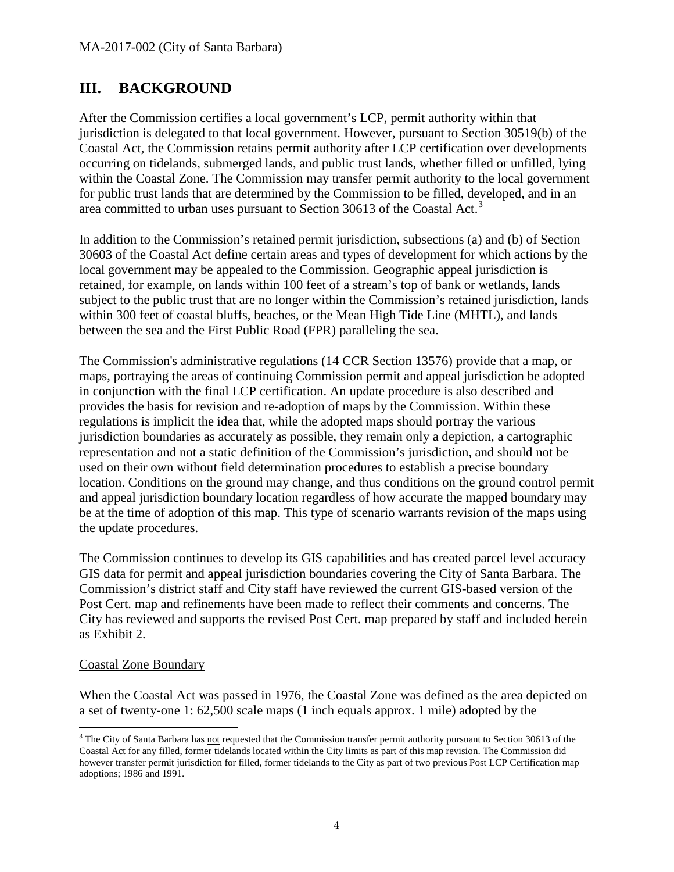## <span id="page-3-0"></span>**III. BACKGROUND**

After the Commission certifies a local government's LCP, permit authority within that jurisdiction is delegated to that local government. However, pursuant to Section 30519(b) of the Coastal Act, the Commission retains permit authority after LCP certification over developments occurring on tidelands, submerged lands, and public trust lands, whether filled or unfilled, lying within the Coastal Zone. The Commission may transfer permit authority to the local government for public trust lands that are determined by the Commission to be filled, developed, and in an area committed to urban uses pursuant to Section [3](#page-3-1)0613 of the Coastal Act.<sup>3</sup>

In addition to the Commission's retained permit jurisdiction, subsections (a) and (b) of Section 30603 of the Coastal Act define certain areas and types of development for which actions by the local government may be appealed to the Commission. Geographic appeal jurisdiction is retained, for example, on lands within 100 feet of a stream's top of bank or wetlands, lands subject to the public trust that are no longer within the Commission's retained jurisdiction, lands within 300 feet of coastal bluffs, beaches, or the Mean High Tide Line (MHTL), and lands between the sea and the First Public Road (FPR) paralleling the sea.

The Commission's administrative regulations (14 CCR Section 13576) provide that a map, or maps, portraying the areas of continuing Commission permit and appeal jurisdiction be adopted in conjunction with the final LCP certification. An update procedure is also described and provides the basis for revision and re-adoption of maps by the Commission. Within these regulations is implicit the idea that, while the adopted maps should portray the various jurisdiction boundaries as accurately as possible, they remain only a depiction, a cartographic representation and not a static definition of the Commission's jurisdiction, and should not be used on their own without field determination procedures to establish a precise boundary location. Conditions on the ground may change, and thus conditions on the ground control permit and appeal jurisdiction boundary location regardless of how accurate the mapped boundary may be at the time of adoption of this map. This type of scenario warrants revision of the maps using the update procedures.

The Commission continues to develop its GIS capabilities and has created parcel level accuracy GIS data for permit and appeal jurisdiction boundaries covering the City of Santa Barbara. The Commission's district staff and City staff have reviewed the current GIS-based version of the Post Cert. map and refinements have been made to reflect their comments and concerns. The City has reviewed and supports the revised Post Cert. map prepared by staff and included herein as Exhibit 2.

#### Coastal Zone Boundary

When the Coastal Act was passed in 1976, the Coastal Zone was defined as the area depicted on a set of twenty-one 1: 62,500 scale maps (1 inch equals approx. 1 mile) adopted by the

<span id="page-3-1"></span><sup>&</sup>lt;sup>3</sup> The City of Santa Barbara has not requested that the Commission transfer permit authority pursuant to Section 30613 of the Coastal Act for any filled, former tidelands located within the City limits as part of this map revision. The Commission did however transfer permit jurisdiction for filled, former tidelands to the City as part of two previous Post LCP Certification map adoptions; 1986 and 1991.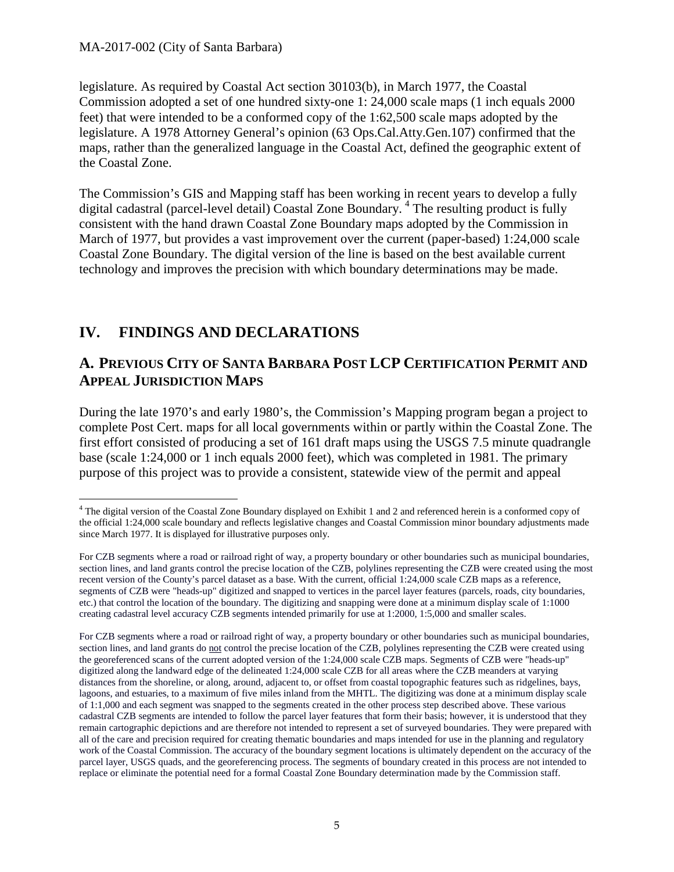legislature. As required by Coastal Act section 30103(b), in March 1977, the Coastal Commission adopted a set of one hundred sixty-one 1: 24,000 scale maps (1 inch equals 2000 feet) that were intended to be a conformed copy of the 1:62,500 scale maps adopted by the legislature. A 1978 Attorney General's opinion (63 Ops.Cal.Atty.Gen.107) confirmed that the maps, rather than the generalized language in the Coastal Act, defined the geographic extent of the Coastal Zone.

The Commission's GIS and Mapping staff has been working in recent years to develop a fully digital cadastral (parcel-level detail) Coastal Zone Boundary.<sup>[4](#page-4-2)</sup> The resulting product is fully consistent with the hand drawn Coastal Zone Boundary maps adopted by the Commission in March of 1977, but provides a vast improvement over the current (paper-based) 1:24,000 scale Coastal Zone Boundary. The digital version of the line is based on the best available current technology and improves the precision with which boundary determinations may be made.

# <span id="page-4-0"></span>**IV. FINDINGS AND DECLARATIONS**

## <span id="page-4-1"></span>**A. PREVIOUS CITY OF SANTA BARBARA POST LCP CERTIFICATION PERMIT AND APPEAL JURISDICTION MAPS**

During the late 1970's and early 1980's, the Commission's Mapping program began a project to complete Post Cert. maps for all local governments within or partly within the Coastal Zone. The first effort consisted of producing a set of 161 draft maps using the USGS 7.5 minute quadrangle base (scale 1:24,000 or 1 inch equals 2000 feet), which was completed in 1981. The primary purpose of this project was to provide a consistent, statewide view of the permit and appeal

<span id="page-4-2"></span><sup>&</sup>lt;sup>4</sup> The digital version of the Coastal Zone Boundary displayed on Exhibit 1 and 2 and referenced herein is a conformed copy of the official 1:24,000 scale boundary and reflects legislative changes and Coastal Commission minor boundary adjustments made since March 1977. It is displayed for illustrative purposes only.

For CZB segments where a road or railroad right of way, a property boundary or other boundaries such as municipal boundaries, section lines, and land grants control the precise location of the CZB, polylines representing the CZB were created using the most recent version of the County's parcel dataset as a base. With the current, official 1:24,000 scale CZB maps as a reference, segments of CZB were "heads-up" digitized and snapped to vertices in the parcel layer features (parcels, roads, city boundaries, etc.) that control the location of the boundary. The digitizing and snapping were done at a minimum display scale of 1:1000 creating cadastral level accuracy CZB segments intended primarily for use at 1:2000, 1:5,000 and smaller scales.

For CZB segments where a road or railroad right of way, a property boundary or other boundaries such as municipal boundaries, section lines, and land grants do not control the precise location of the CZB, polylines representing the CZB were created using the georeferenced scans of the current adopted version of the 1:24,000 scale CZB maps. Segments of CZB were "heads-up" digitized along the landward edge of the delineated 1:24,000 scale CZB for all areas where the CZB meanders at varying distances from the shoreline, or along, around, adjacent to, or offset from coastal topographic features such as ridgelines, bays, lagoons, and estuaries, to a maximum of five miles inland from the MHTL. The digitizing was done at a minimum display scale of 1:1,000 and each segment was snapped to the segments created in the other process step described above. These various cadastral CZB segments are intended to follow the parcel layer features that form their basis; however, it is understood that they remain cartographic depictions and are therefore not intended to represent a set of surveyed boundaries. They were prepared with all of the care and precision required for creating thematic boundaries and maps intended for use in the planning and regulatory work of the Coastal Commission. The accuracy of the boundary segment locations is ultimately dependent on the accuracy of the parcel layer, USGS quads, and the georeferencing process. The segments of boundary created in this process are not intended to replace or eliminate the potential need for a formal Coastal Zone Boundary determination made by the Commission staff.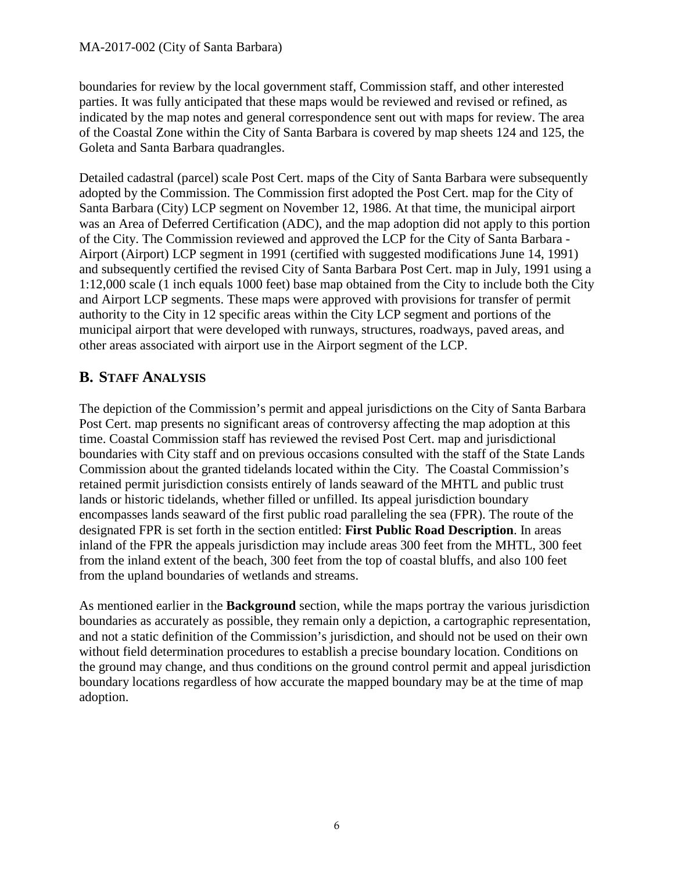boundaries for review by the local government staff, Commission staff, and other interested parties. It was fully anticipated that these maps would be reviewed and revised or refined, as indicated by the map notes and general correspondence sent out with maps for review. The area of the Coastal Zone within the City of Santa Barbara is covered by map sheets 124 and 125, the Goleta and Santa Barbara quadrangles.

Detailed cadastral (parcel) scale Post Cert. maps of the City of Santa Barbara were subsequently adopted by the Commission. The Commission first adopted the Post Cert. map for the City of Santa Barbara (City) LCP segment on November 12, 1986. At that time, the municipal airport was an Area of Deferred Certification (ADC), and the map adoption did not apply to this portion of the City. The Commission reviewed and approved the LCP for the City of Santa Barbara - Airport (Airport) LCP segment in 1991 (certified with suggested modifications June 14, 1991) and subsequently certified the revised City of Santa Barbara Post Cert. map in July, 1991 using a 1:12,000 scale (1 inch equals 1000 feet) base map obtained from the City to include both the City and Airport LCP segments. These maps were approved with provisions for transfer of permit authority to the City in 12 specific areas within the City LCP segment and portions of the municipal airport that were developed with runways, structures, roadways, paved areas, and other areas associated with airport use in the Airport segment of the LCP.

## <span id="page-5-0"></span>**B. STAFF ANALYSIS**

The depiction of the Commission's permit and appeal jurisdictions on the City of Santa Barbara Post Cert. map presents no significant areas of controversy affecting the map adoption at this time. Coastal Commission staff has reviewed the revised Post Cert. map and jurisdictional boundaries with City staff and on previous occasions consulted with the staff of the State Lands Commission about the granted tidelands located within the City. The Coastal Commission's retained permit jurisdiction consists entirely of lands seaward of the MHTL and public trust lands or historic tidelands, whether filled or unfilled. Its appeal jurisdiction boundary encompasses lands seaward of the first public road paralleling the sea (FPR). The route of the designated FPR is set forth in the section entitled: **First Public Road Description**. In areas inland of the FPR the appeals jurisdiction may include areas 300 feet from the MHTL, 300 feet from the inland extent of the beach, 300 feet from the top of coastal bluffs, and also 100 feet from the upland boundaries of wetlands and streams.

As mentioned earlier in the **Background** section, while the maps portray the various jurisdiction boundaries as accurately as possible, they remain only a depiction, a cartographic representation, and not a static definition of the Commission's jurisdiction, and should not be used on their own without field determination procedures to establish a precise boundary location. Conditions on the ground may change, and thus conditions on the ground control permit and appeal jurisdiction boundary locations regardless of how accurate the mapped boundary may be at the time of map adoption.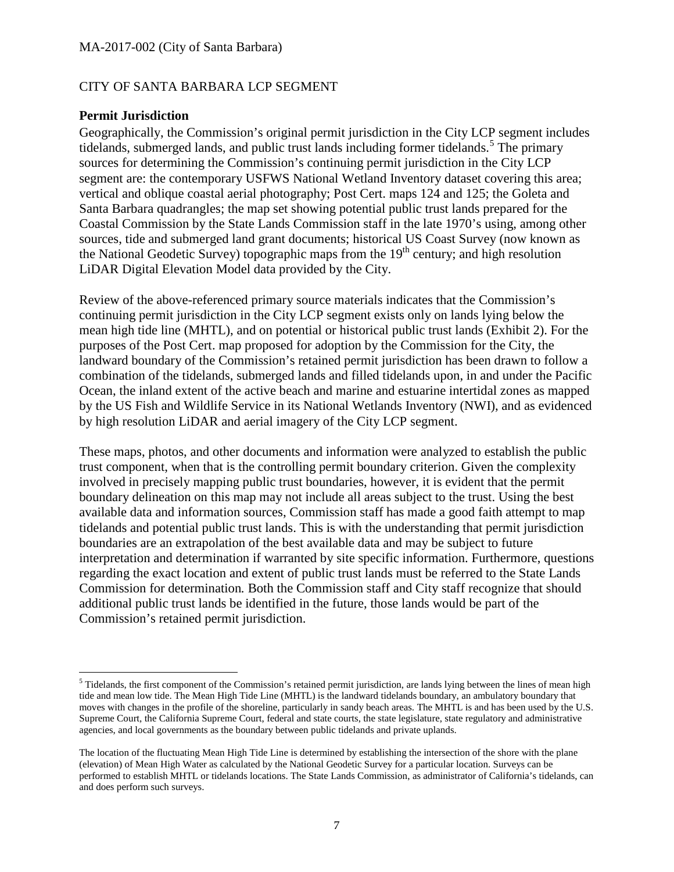#### CITY OF SANTA BARBARA LCP SEGMENT

#### **Permit Jurisdiction**

Geographically, the Commission's original permit jurisdiction in the City LCP segment includes tidelands, submerged lands, and public trust lands including former tidelands.<sup>[5](#page-6-0)</sup> The primary sources for determining the Commission's continuing permit jurisdiction in the City LCP segment are: the contemporary USFWS National Wetland Inventory dataset covering this area; vertical and oblique coastal aerial photography; Post Cert. maps 124 and 125; the Goleta and Santa Barbara quadrangles; the map set showing potential public trust lands prepared for the Coastal Commission by the State Lands Commission staff in the late 1970's using, among other sources, tide and submerged land grant documents; historical US Coast Survey (now known as the National Geodetic Survey) topographic maps from the  $19<sup>th</sup>$  century; and high resolution LiDAR Digital Elevation Model data provided by the City.

Review of the above-referenced primary source materials indicates that the Commission's continuing permit jurisdiction in the City LCP segment exists only on lands lying below the mean high tide line (MHTL), and on potential or historical public trust lands (Exhibit 2). For the purposes of the Post Cert. map proposed for adoption by the Commission for the City, the landward boundary of the Commission's retained permit jurisdiction has been drawn to follow a combination of the tidelands, submerged lands and filled tidelands upon, in and under the Pacific Ocean, the inland extent of the active beach and marine and estuarine intertidal zones as mapped by the US Fish and Wildlife Service in its National Wetlands Inventory (NWI), and as evidenced by high resolution LiDAR and aerial imagery of the City LCP segment.

These maps, photos, and other documents and information were analyzed to establish the public trust component, when that is the controlling permit boundary criterion. Given the complexity involved in precisely mapping public trust boundaries, however, it is evident that the permit boundary delineation on this map may not include all areas subject to the trust. Using the best available data and information sources, Commission staff has made a good faith attempt to map tidelands and potential public trust lands. This is with the understanding that permit jurisdiction boundaries are an extrapolation of the best available data and may be subject to future interpretation and determination if warranted by site specific information. Furthermore, questions regarding the exact location and extent of public trust lands must be referred to the State Lands Commission for determination*.* Both the Commission staff and City staff recognize that should additional public trust lands be identified in the future, those lands would be part of the Commission's retained permit jurisdiction.

<span id="page-6-0"></span> $<sup>5</sup>$  Tidelands, the first component of the Commission's retained permit jurisdiction, are lands lying between the lines of mean high</sup> tide and mean low tide. The Mean High Tide Line (MHTL) is the landward tidelands boundary, an ambulatory boundary that moves with changes in the profile of the shoreline, particularly in sandy beach areas. The MHTL is and has been used by the U.S. Supreme Court, the California Supreme Court, federal and state courts, the state legislature, state regulatory and administrative agencies, and local governments as the boundary between public tidelands and private uplands.

The location of the fluctuating Mean High Tide Line is determined by establishing the intersection of the shore with the plane (elevation) of Mean High Water as calculated by the National Geodetic Survey for a particular location. Surveys can be performed to establish MHTL or tidelands locations. The State Lands Commission, as administrator of California's tidelands, can and does perform such surveys.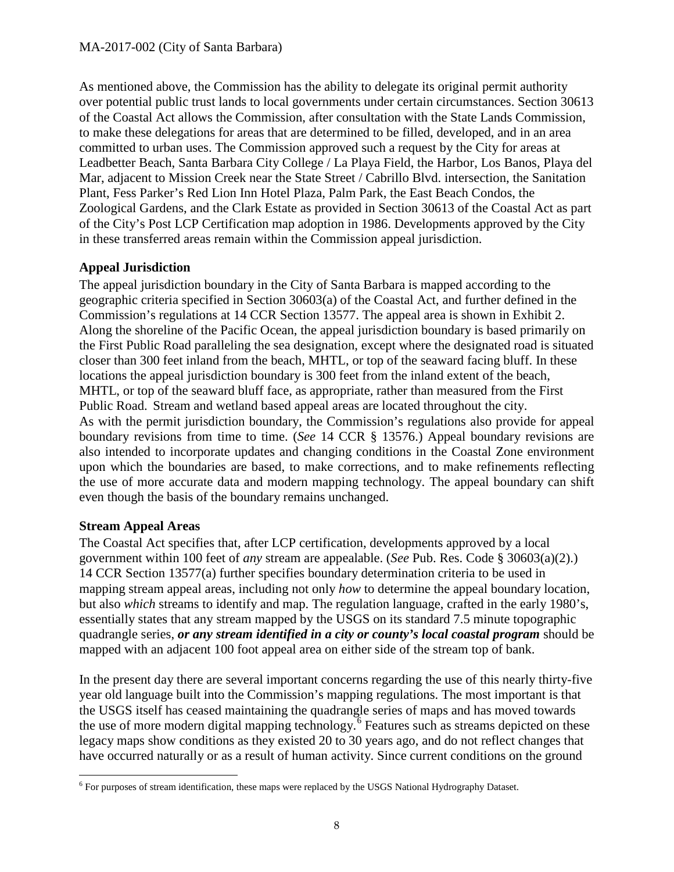As mentioned above, the Commission has the ability to delegate its original permit authority over potential public trust lands to local governments under certain circumstances. Section 30613 of the Coastal Act allows the Commission, after consultation with the State Lands Commission, to make these delegations for areas that are determined to be filled, developed, and in an area committed to urban uses. The Commission approved such a request by the City for areas at Leadbetter Beach, Santa Barbara City College / La Playa Field, the Harbor, Los Banos, Playa del Mar, adjacent to Mission Creek near the State Street / Cabrillo Blvd. intersection, the Sanitation Plant, Fess Parker's Red Lion Inn Hotel Plaza, Palm Park, the East Beach Condos, the Zoological Gardens, and the Clark Estate as provided in Section 30613 of the Coastal Act as part of the City's Post LCP Certification map adoption in 1986. Developments approved by the City in these transferred areas remain within the Commission appeal jurisdiction.

## **Appeal Jurisdiction**

The appeal jurisdiction boundary in the City of Santa Barbara is mapped according to the geographic criteria specified in Section 30603(a) of the Coastal Act, and further defined in the Commission's regulations at 14 CCR Section 13577. The appeal area is shown in Exhibit 2. Along the shoreline of the Pacific Ocean, the appeal jurisdiction boundary is based primarily on the First Public Road paralleling the sea designation, except where the designated road is situated closer than 300 feet inland from the beach, MHTL, or top of the seaward facing bluff. In these locations the appeal jurisdiction boundary is 300 feet from the inland extent of the beach, MHTL, or top of the seaward bluff face, as appropriate, rather than measured from the First Public Road. Stream and wetland based appeal areas are located throughout the city. As with the permit jurisdiction boundary, the Commission's regulations also provide for appeal boundary revisions from time to time. (*See* 14 CCR § 13576.) Appeal boundary revisions are also intended to incorporate updates and changing conditions in the Coastal Zone environment upon which the boundaries are based, to make corrections, and to make refinements reflecting the use of more accurate data and modern mapping technology. The appeal boundary can shift even though the basis of the boundary remains unchanged.

## **Stream Appeal Areas**

The Coastal Act specifies that, after LCP certification, developments approved by a local government within 100 feet of *any* stream are appealable. (*See* Pub. Res. Code § 30603(a)(2).) 14 CCR Section 13577(a) further specifies boundary determination criteria to be used in mapping stream appeal areas, including not only *how* to determine the appeal boundary location, but also *which* streams to identify and map. The regulation language, crafted in the early 1980's, essentially states that any stream mapped by the USGS on its standard 7.5 minute topographic quadrangle series, *or any stream identified in a city or county's local coastal program* should be mapped with an adjacent 100 foot appeal area on either side of the stream top of bank.

In the present day there are several important concerns regarding the use of this nearly thirty-five year old language built into the Commission's mapping regulations. The most important is that the USGS itself has ceased maintaining the quadrangle series of maps and has moved towards the use of more modern digital mapping technology.<sup>[6](#page-7-0)</sup> Features such as streams depicted on these legacy maps show conditions as they existed 20 to 30 years ago, and do not reflect changes that have occurred naturally or as a result of human activity. Since current conditions on the ground

<span id="page-7-0"></span> <sup>6</sup> For purposes of stream identification, these maps were replaced by the USGS National Hydrography Dataset.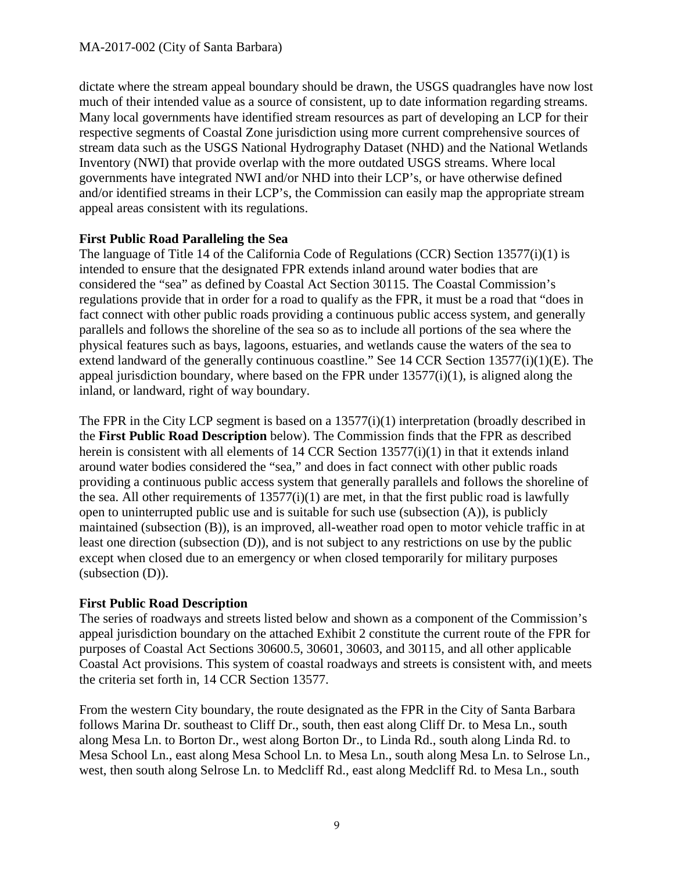dictate where the stream appeal boundary should be drawn, the USGS quadrangles have now lost much of their intended value as a source of consistent, up to date information regarding streams. Many local governments have identified stream resources as part of developing an LCP for their respective segments of Coastal Zone jurisdiction using more current comprehensive sources of stream data such as the USGS National Hydrography Dataset (NHD) and the National Wetlands Inventory (NWI) that provide overlap with the more outdated USGS streams. Where local governments have integrated NWI and/or NHD into their LCP's, or have otherwise defined and/or identified streams in their LCP's, the Commission can easily map the appropriate stream appeal areas consistent with its regulations.

### **First Public Road Paralleling the Sea**

The language of Title 14 of the California Code of Regulations (CCR) Section 13577(i)(1) is intended to ensure that the designated FPR extends inland around water bodies that are considered the "sea" as defined by Coastal Act Section 30115. The Coastal Commission's regulations provide that in order for a road to qualify as the FPR, it must be a road that "does in fact connect with other public roads providing a continuous public access system, and generally parallels and follows the shoreline of the sea so as to include all portions of the sea where the physical features such as bays, lagoons, estuaries, and wetlands cause the waters of the sea to extend landward of the generally continuous coastline." See 14 CCR Section 13577(i)(1)(E). The appeal jurisdiction boundary, where based on the FPR under 13577(i)(1), is aligned along the inland, or landward, right of way boundary.

The FPR in the City LCP segment is based on a 13577(i)(1) interpretation (broadly described in the **First Public Road Description** below). The Commission finds that the FPR as described herein is consistent with all elements of 14 CCR Section 13577(i)(1) in that it extends inland around water bodies considered the "sea," and does in fact connect with other public roads providing a continuous public access system that generally parallels and follows the shoreline of the sea. All other requirements of  $13577(i)(1)$  are met, in that the first public road is lawfully open to uninterrupted public use and is suitable for such use (subsection (A)), is publicly maintained (subsection (B)), is an improved, all-weather road open to motor vehicle traffic in at least one direction (subsection (D)), and is not subject to any restrictions on use by the public except when closed due to an emergency or when closed temporarily for military purposes (subsection (D)).

## **First Public Road Description**

The series of roadways and streets listed below and shown as a component of the Commission's appeal jurisdiction boundary on the attached Exhibit 2 constitute the current route of the FPR for purposes of Coastal Act Sections 30600.5, 30601, 30603, and 30115, and all other applicable Coastal Act provisions. This system of coastal roadways and streets is consistent with, and meets the criteria set forth in, 14 CCR Section 13577.

From the western City boundary, the route designated as the FPR in the City of Santa Barbara follows Marina Dr. southeast to Cliff Dr., south, then east along Cliff Dr. to Mesa Ln., south along Mesa Ln. to Borton Dr., west along Borton Dr., to Linda Rd., south along Linda Rd. to Mesa School Ln., east along Mesa School Ln. to Mesa Ln., south along Mesa Ln. to Selrose Ln., west, then south along Selrose Ln. to Medcliff Rd., east along Medcliff Rd. to Mesa Ln., south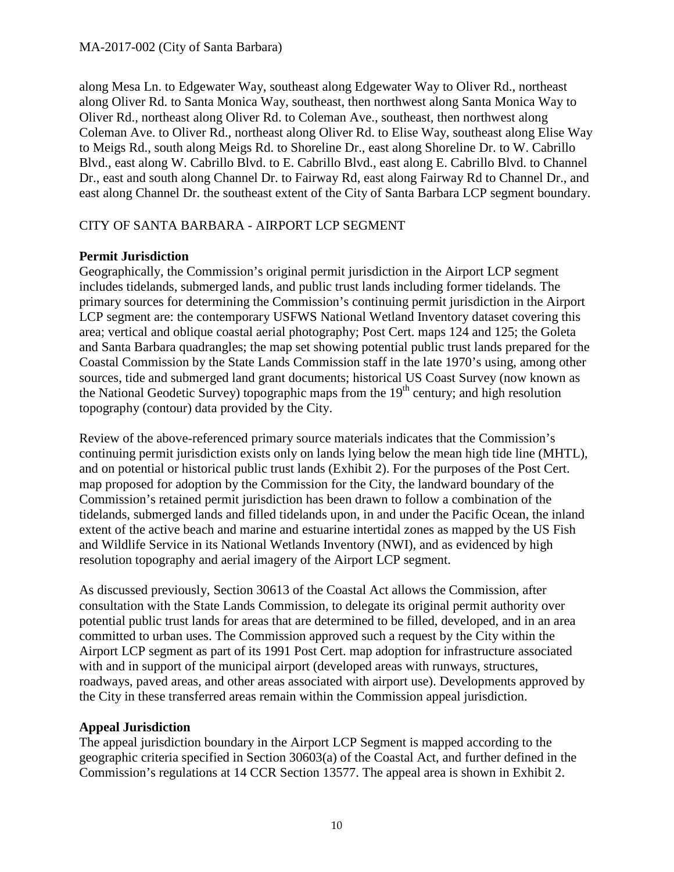along Mesa Ln. to Edgewater Way, southeast along Edgewater Way to Oliver Rd., northeast along Oliver Rd. to Santa Monica Way, southeast, then northwest along Santa Monica Way to Oliver Rd., northeast along Oliver Rd. to Coleman Ave., southeast, then northwest along Coleman Ave. to Oliver Rd., northeast along Oliver Rd. to Elise Way, southeast along Elise Way to Meigs Rd., south along Meigs Rd. to Shoreline Dr., east along Shoreline Dr. to W. Cabrillo Blvd., east along W. Cabrillo Blvd. to E. Cabrillo Blvd., east along E. Cabrillo Blvd. to Channel Dr., east and south along Channel Dr. to Fairway Rd, east along Fairway Rd to Channel Dr., and east along Channel Dr. the southeast extent of the City of Santa Barbara LCP segment boundary.

### CITY OF SANTA BARBARA - AIRPORT LCP SEGMENT

### **Permit Jurisdiction**

Geographically, the Commission's original permit jurisdiction in the Airport LCP segment includes tidelands, submerged lands, and public trust lands including former tidelands. The primary sources for determining the Commission's continuing permit jurisdiction in the Airport LCP segment are: the contemporary USFWS National Wetland Inventory dataset covering this area; vertical and oblique coastal aerial photography; Post Cert. maps 124 and 125; the Goleta and Santa Barbara quadrangles; the map set showing potential public trust lands prepared for the Coastal Commission by the State Lands Commission staff in the late 1970's using, among other sources, tide and submerged land grant documents; historical US Coast Survey (now known as the National Geodetic Survey) topographic maps from the  $19<sup>th</sup>$  century; and high resolution topography (contour) data provided by the City.

Review of the above-referenced primary source materials indicates that the Commission's continuing permit jurisdiction exists only on lands lying below the mean high tide line (MHTL), and on potential or historical public trust lands (Exhibit 2). For the purposes of the Post Cert. map proposed for adoption by the Commission for the City, the landward boundary of the Commission's retained permit jurisdiction has been drawn to follow a combination of the tidelands, submerged lands and filled tidelands upon, in and under the Pacific Ocean, the inland extent of the active beach and marine and estuarine intertidal zones as mapped by the US Fish and Wildlife Service in its National Wetlands Inventory (NWI), and as evidenced by high resolution topography and aerial imagery of the Airport LCP segment.

As discussed previously, Section 30613 of the Coastal Act allows the Commission, after consultation with the State Lands Commission, to delegate its original permit authority over potential public trust lands for areas that are determined to be filled, developed, and in an area committed to urban uses. The Commission approved such a request by the City within the Airport LCP segment as part of its 1991 Post Cert. map adoption for infrastructure associated with and in support of the municipal airport (developed areas with runways, structures, roadways, paved areas, and other areas associated with airport use). Developments approved by the City in these transferred areas remain within the Commission appeal jurisdiction.

#### **Appeal Jurisdiction**

The appeal jurisdiction boundary in the Airport LCP Segment is mapped according to the geographic criteria specified in Section 30603(a) of the Coastal Act, and further defined in the Commission's regulations at 14 CCR Section 13577. The appeal area is shown in Exhibit 2.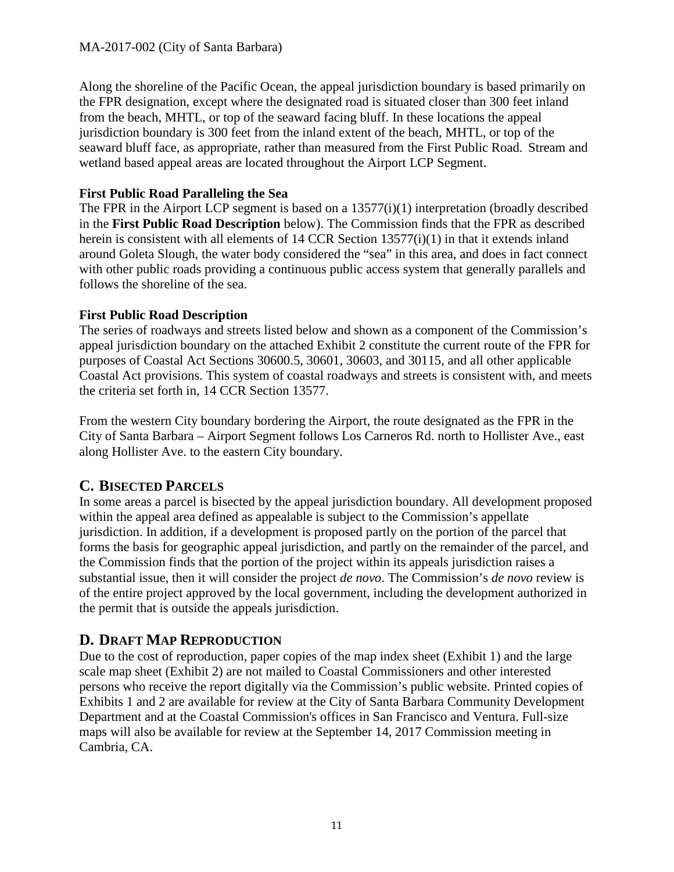#### MA-2017-002 (City of Santa Barbara)

Along the shoreline of the Pacific Ocean, the appeal jurisdiction boundary is based primarily on the FPR designation, except where the designated road is situated closer than 300 feet inland from the beach, MHTL, or top of the seaward facing bluff. In these locations the appeal jurisdiction boundary is 300 feet from the inland extent of the beach, MHTL, or top of the seaward bluff face, as appropriate, rather than measured from the First Public Road. Stream and wetland based appeal areas are located throughout the Airport LCP Segment.

#### **First Public Road Paralleling the Sea**

The FPR in the Airport LCP segment is based on a 13577(i)(1) interpretation (broadly described in the **First Public Road Description** below). The Commission finds that the FPR as described herein is consistent with all elements of 14 CCR Section 13577(i)(1) in that it extends inland around Goleta Slough, the water body considered the "sea" in this area, and does in fact connect with other public roads providing a continuous public access system that generally parallels and follows the shoreline of the sea.

### **First Public Road Description**

The series of roadways and streets listed below and shown as a component of the Commission's appeal jurisdiction boundary on the attached Exhibit 2 constitute the current route of the FPR for purposes of Coastal Act Sections 30600.5, 30601, 30603, and 30115, and all other applicable Coastal Act provisions. This system of coastal roadways and streets is consistent with, and meets the criteria set forth in, 14 CCR Section 13577.

From the western City boundary bordering the Airport, the route designated as the FPR in the City of Santa Barbara – Airport Segment follows Los Carneros Rd. north to Hollister Ave., east along Hollister Ave. to the eastern City boundary.

## <span id="page-10-0"></span>**C. BISECTED PARCELS**

In some areas a parcel is bisected by the appeal jurisdiction boundary. All development proposed within the appeal area defined as appealable is subject to the Commission's appellate jurisdiction. In addition, if a development is proposed partly on the portion of the parcel that forms the basis for geographic appeal jurisdiction, and partly on the remainder of the parcel, and the Commission finds that the portion of the project within its appeals jurisdiction raises a substantial issue, then it will consider the project *de novo*. The Commission's *de novo* review is of the entire project approved by the local government, including the development authorized in the permit that is outside the appeals jurisdiction.

## <span id="page-10-1"></span>**D. DRAFT MAP REPRODUCTION**

Due to the cost of reproduction, paper copies of the map index sheet (Exhibit 1) and the large scale map sheet (Exhibit 2) are not mailed to Coastal Commissioners and other interested persons who receive the report digitally via the Commission's public website. Printed copies of Exhibits 1 and 2 are available for review at the City of Santa Barbara Community Development Department and at the Coastal Commission's offices in San Francisco and Ventura. Full-size maps will also be available for review at the September 14, 2017 Commission meeting in Cambria, CA.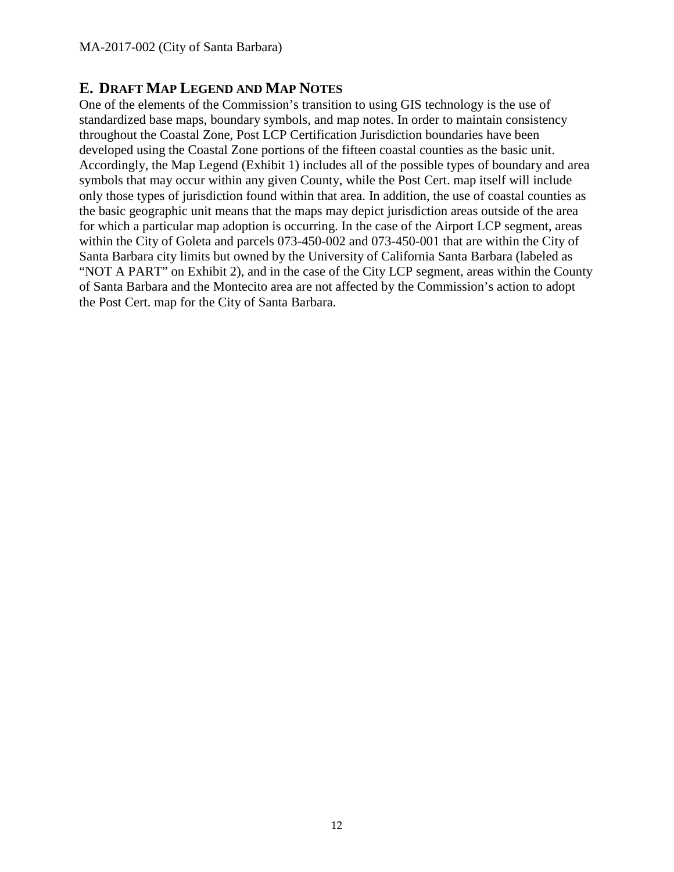## <span id="page-11-0"></span>**E. DRAFT MAP LEGEND AND MAP NOTES**

One of the elements of the Commission's transition to using GIS technology is the use of standardized base maps, boundary symbols, and map notes. In order to maintain consistency throughout the Coastal Zone, Post LCP Certification Jurisdiction boundaries have been developed using the Coastal Zone portions of the fifteen coastal counties as the basic unit. Accordingly, the Map Legend (Exhibit 1) includes all of the possible types of boundary and area symbols that may occur within any given County, while the Post Cert. map itself will include only those types of jurisdiction found within that area. In addition, the use of coastal counties as the basic geographic unit means that the maps may depict jurisdiction areas outside of the area for which a particular map adoption is occurring. In the case of the Airport LCP segment, areas within the City of Goleta and parcels 073-450-002 and 073-450-001 that are within the City of Santa Barbara city limits but owned by the University of California Santa Barbara (labeled as "NOT A PART" on Exhibit 2), and in the case of the City LCP segment, areas within the County of Santa Barbara and the Montecito area are not affected by the Commission's action to adopt the Post Cert. map for the City of Santa Barbara.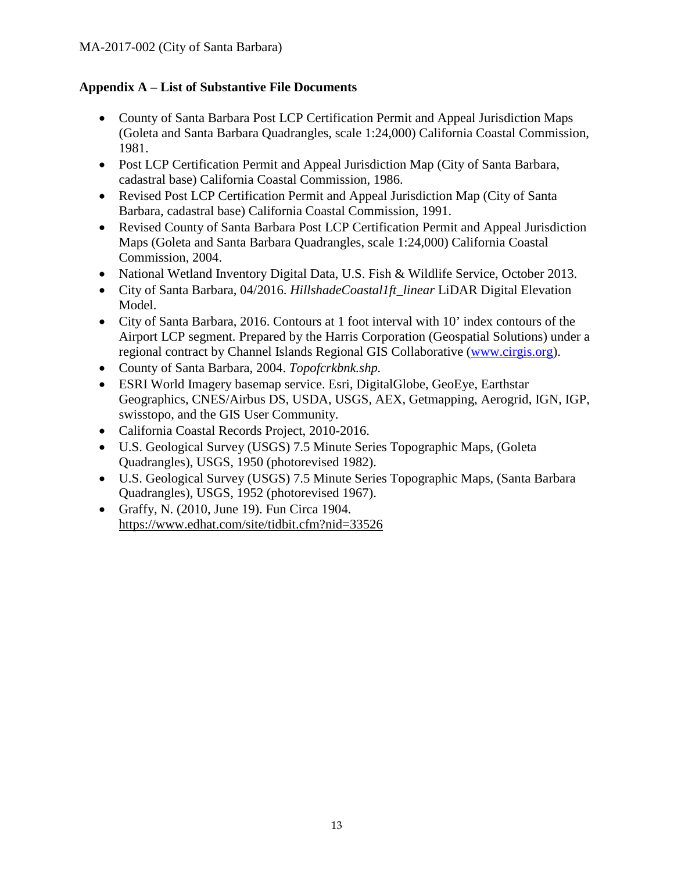## <span id="page-12-0"></span>**Appendix A – List of Substantive File Documents**

- County of Santa Barbara Post LCP Certification Permit and Appeal Jurisdiction Maps (Goleta and Santa Barbara Quadrangles, scale 1:24,000) California Coastal Commission, 1981.
- Post LCP Certification Permit and Appeal Jurisdiction Map (City of Santa Barbara, cadastral base) California Coastal Commission, 1986.
- Revised Post LCP Certification Permit and Appeal Jurisdiction Map (City of Santa Barbara, cadastral base) California Coastal Commission, 1991.
- Revised County of Santa Barbara Post LCP Certification Permit and Appeal Jurisdiction Maps (Goleta and Santa Barbara Quadrangles, scale 1:24,000) California Coastal Commission, 2004.
- National Wetland Inventory Digital Data, U.S. Fish & Wildlife Service, October 2013.
- City of Santa Barbara, 04/2016. *HillshadeCoastal1ft\_linear* LiDAR Digital Elevation Model.
- City of Santa Barbara, 2016. Contours at 1 foot interval with 10' index contours of the Airport LCP segment. Prepared by the Harris Corporation (Geospatial Solutions) under a regional contract by Channel Islands Regional GIS Collaborative [\(www.cirgis.org\)](http://www.cirgis.org/).
- County of Santa Barbara, 2004. *Topofcrkbnk.shp.*
- ESRI World Imagery basemap service. Esri, DigitalGlobe, GeoEye, Earthstar Geographics, CNES/Airbus DS, USDA, USGS, AEX, Getmapping, Aerogrid, IGN, IGP, swisstopo, and the GIS User Community.
- California Coastal Records Project, 2010-2016.
- U.S. Geological Survey (USGS) 7.5 Minute Series Topographic Maps, (Goleta Quadrangles), USGS, 1950 (photorevised 1982).
- U.S. Geological Survey (USGS) 7.5 Minute Series Topographic Maps, (Santa Barbara Quadrangles), USGS, 1952 (photorevised 1967).
- Graffy, N. (2010, June 19). Fun Circa 1904. <https://www.edhat.com/site/tidbit.cfm?nid=33526>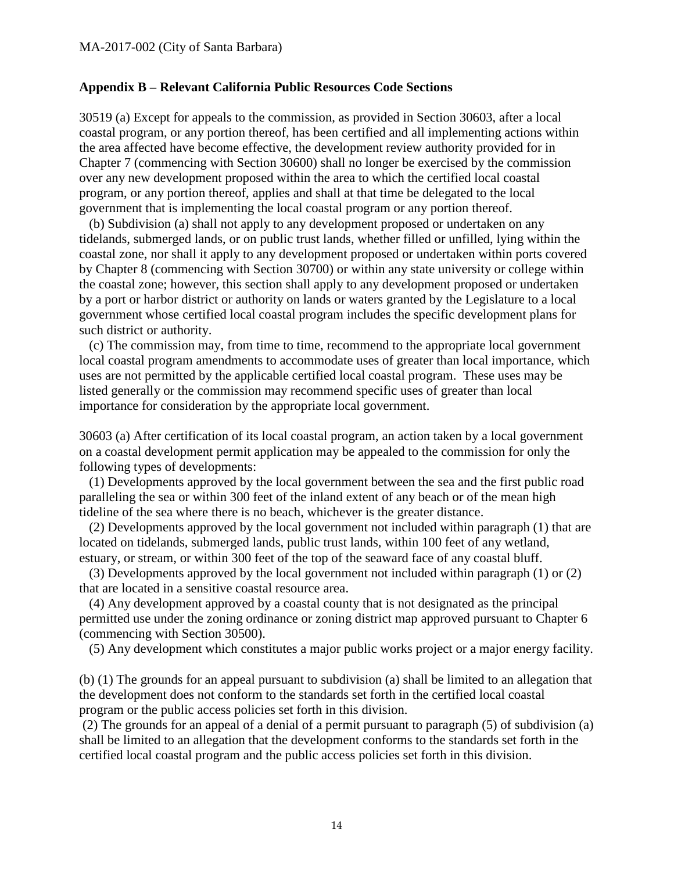#### <span id="page-13-0"></span>**Appendix B – Relevant California Public Resources Code Sections**

30519 (a) Except for appeals to the commission, as provided in Section 30603, after a local coastal program, or any portion thereof, has been certified and all implementing actions within the area affected have become effective, the development review authority provided for in Chapter 7 (commencing with Section 30600) shall no longer be exercised by the commission over any new development proposed within the area to which the certified local coastal program, or any portion thereof, applies and shall at that time be delegated to the local government that is implementing the local coastal program or any portion thereof.

 (b) Subdivision (a) shall not apply to any development proposed or undertaken on any tidelands, submerged lands, or on public trust lands, whether filled or unfilled, lying within the coastal zone, nor shall it apply to any development proposed or undertaken within ports covered by Chapter 8 (commencing with Section 30700) or within any state university or college within the coastal zone; however, this section shall apply to any development proposed or undertaken by a port or harbor district or authority on lands or waters granted by the Legislature to a local government whose certified local coastal program includes the specific development plans for such district or authority.

 (c) The commission may, from time to time, recommend to the appropriate local government local coastal program amendments to accommodate uses of greater than local importance, which uses are not permitted by the applicable certified local coastal program. These uses may be listed generally or the commission may recommend specific uses of greater than local importance for consideration by the appropriate local government.

30603 (a) After certification of its local coastal program, an action taken by a local government on a coastal development permit application may be appealed to the commission for only the following types of developments:

 (1) Developments approved by the local government between the sea and the first public road paralleling the sea or within 300 feet of the inland extent of any beach or of the mean high tideline of the sea where there is no beach, whichever is the greater distance.

 (2) Developments approved by the local government not included within paragraph (1) that are located on tidelands, submerged lands, public trust lands, within 100 feet of any wetland, estuary, or stream, or within 300 feet of the top of the seaward face of any coastal bluff.

 (3) Developments approved by the local government not included within paragraph (1) or (2) that are located in a sensitive coastal resource area.

 (4) Any development approved by a coastal county that is not designated as the principal permitted use under the zoning ordinance or zoning district map approved pursuant to Chapter 6 (commencing with Section 30500).

(5) Any development which constitutes a major public works project or a major energy facility.

(b) (1) The grounds for an appeal pursuant to subdivision (a) shall be limited to an allegation that the development does not conform to the standards set forth in the certified local coastal program or the public access policies set forth in this division.

(2) The grounds for an appeal of a denial of a permit pursuant to paragraph (5) of subdivision (a) shall be limited to an allegation that the development conforms to the standards set forth in the certified local coastal program and the public access policies set forth in this division.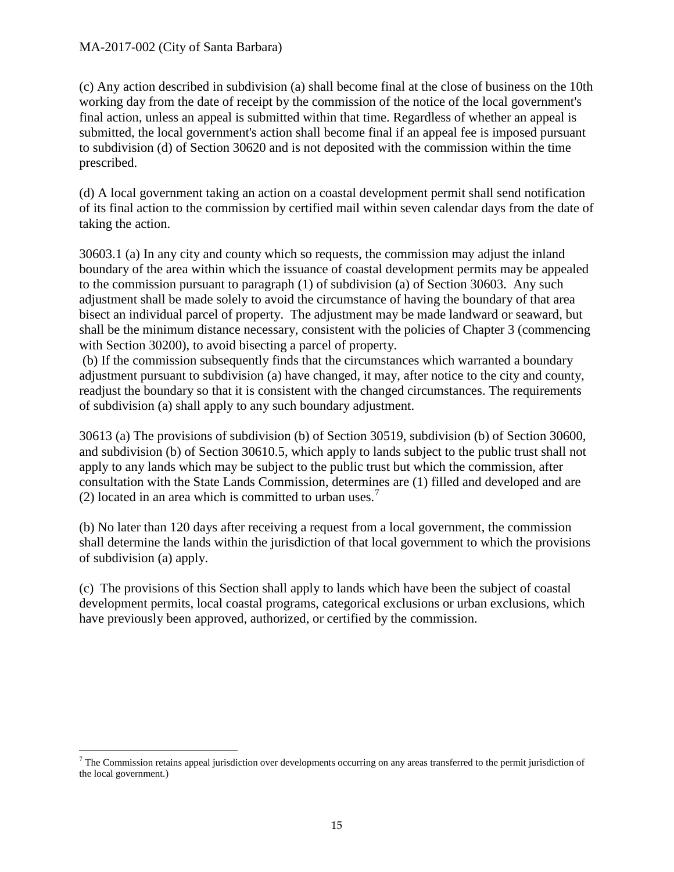#### MA-2017-002 (City of Santa Barbara)

(c) Any action described in subdivision (a) shall become final at the close of business on the 10th working day from the date of receipt by the commission of the notice of the local government's final action, unless an appeal is submitted within that time. Regardless of whether an appeal is submitted, the local government's action shall become final if an appeal fee is imposed pursuant to subdivision (d) of Section 30620 and is not deposited with the commission within the time prescribed.

(d) A local government taking an action on a coastal development permit shall send notification of its final action to the commission by certified mail within seven calendar days from the date of taking the action.

30603.1 (a) In any city and county which so requests, the commission may adjust the inland boundary of the area within which the issuance of coastal development permits may be appealed to the commission pursuant to paragraph (1) of subdivision (a) of Section 30603. Any such adjustment shall be made solely to avoid the circumstance of having the boundary of that area bisect an individual parcel of property. The adjustment may be made landward or seaward, but shall be the minimum distance necessary, consistent with the policies of Chapter 3 (commencing with Section 30200), to avoid bisecting a parcel of property.

(b) If the commission subsequently finds that the circumstances which warranted a boundary adjustment pursuant to subdivision (a) have changed, it may, after notice to the city and county, readjust the boundary so that it is consistent with the changed circumstances. The requirements of subdivision (a) shall apply to any such boundary adjustment.

30613 (a) The provisions of subdivision (b) of Section 30519, subdivision (b) of Section 30600, and subdivision (b) of Section 30610.5, which apply to lands subject to the public trust shall not apply to any lands which may be subject to the public trust but which the commission, after consultation with the State Lands Commission, determines are (1) filled and developed and are (2) located in an area which is committed to urban uses.<sup>[7](#page-14-0)</sup>

(b) No later than 120 days after receiving a request from a local government, the commission shall determine the lands within the jurisdiction of that local government to which the provisions of subdivision (a) apply.

(c) The provisions of this Section shall apply to lands which have been the subject of coastal development permits, local coastal programs, categorical exclusions or urban exclusions, which have previously been approved, authorized, or certified by the commission.

<span id="page-14-0"></span> $<sup>7</sup>$  The Commission retains appeal jurisdiction over developments occurring on any areas transferred to the permit jurisdiction of</sup> the local government.)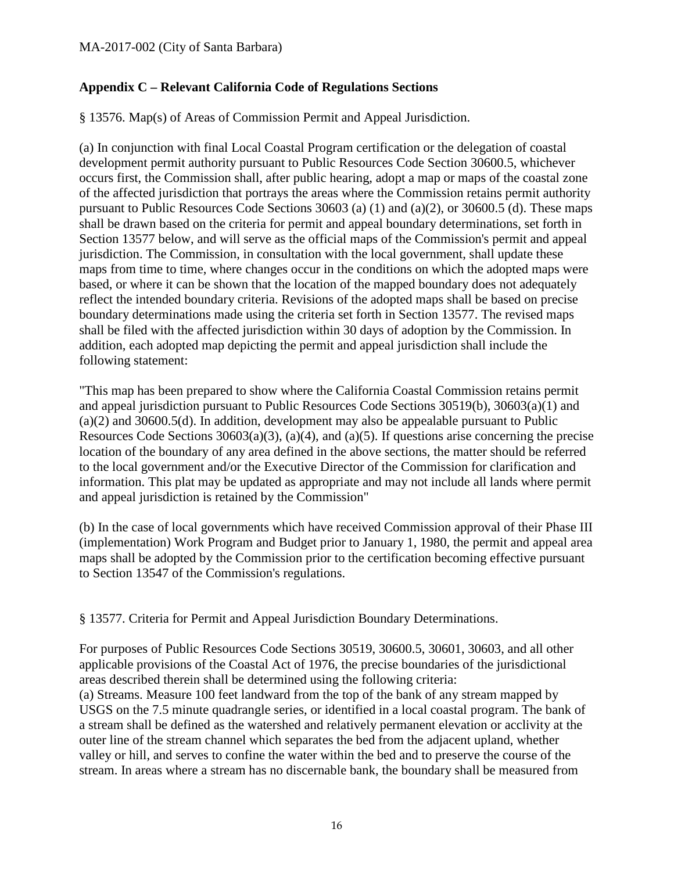### <span id="page-15-0"></span>**Appendix C – Relevant California Code of Regulations Sections**

§ 13576. Map(s) of Areas of Commission Permit and Appeal Jurisdiction.

(a) In conjunction with final Local Coastal Program certification or the delegation of coastal development permit authority pursuant to Public Resources Code Section 30600.5, whichever occurs first, the Commission shall, after public hearing, adopt a map or maps of the coastal zone of the affected jurisdiction that portrays the areas where the Commission retains permit authority pursuant to Public Resources Code Sections 30603 (a) (1) and (a)(2), or 30600.5 (d). These maps shall be drawn based on the criteria for permit and appeal boundary determinations, set forth in Section 13577 below, and will serve as the official maps of the Commission's permit and appeal jurisdiction. The Commission, in consultation with the local government, shall update these maps from time to time, where changes occur in the conditions on which the adopted maps were based, or where it can be shown that the location of the mapped boundary does not adequately reflect the intended boundary criteria. Revisions of the adopted maps shall be based on precise boundary determinations made using the criteria set forth in Section 13577. The revised maps shall be filed with the affected jurisdiction within 30 days of adoption by the Commission. In addition, each adopted map depicting the permit and appeal jurisdiction shall include the following statement:

"This map has been prepared to show where the California Coastal Commission retains permit and appeal jurisdiction pursuant to Public Resources Code Sections 30519(b), 30603(a)(1) and (a)(2) and 30600.5(d). In addition, development may also be appealable pursuant to Public Resources Code Sections  $30603(a)(3)$ ,  $(a)(4)$ , and  $(a)(5)$ . If questions arise concerning the precise location of the boundary of any area defined in the above sections, the matter should be referred to the local government and/or the Executive Director of the Commission for clarification and information. This plat may be updated as appropriate and may not include all lands where permit and appeal jurisdiction is retained by the Commission"

(b) In the case of local governments which have received Commission approval of their Phase III (implementation) Work Program and Budget prior to January 1, 1980, the permit and appeal area maps shall be adopted by the Commission prior to the certification becoming effective pursuant to Section 13547 of the Commission's regulations.

§ 13577. Criteria for Permit and Appeal Jurisdiction Boundary Determinations.

For purposes of Public Resources Code Sections 30519, 30600.5, 30601, 30603, and all other applicable provisions of the Coastal Act of 1976, the precise boundaries of the jurisdictional areas described therein shall be determined using the following criteria:

(a) Streams. Measure 100 feet landward from the top of the bank of any stream mapped by USGS on the 7.5 minute quadrangle series, or identified in a local coastal program. The bank of a stream shall be defined as the watershed and relatively permanent elevation or acclivity at the outer line of the stream channel which separates the bed from the adjacent upland, whether valley or hill, and serves to confine the water within the bed and to preserve the course of the stream. In areas where a stream has no discernable bank, the boundary shall be measured from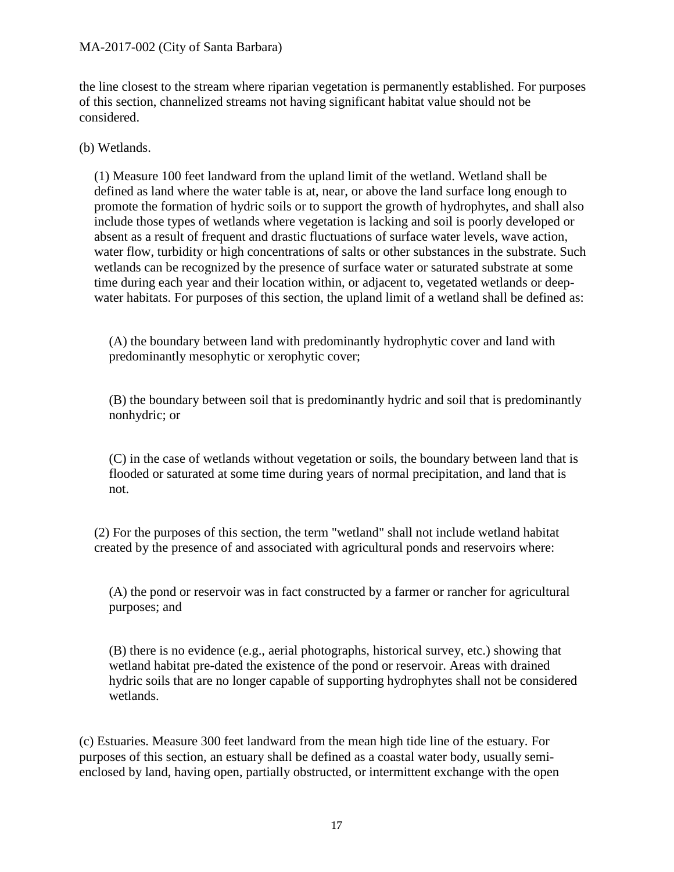the line closest to the stream where riparian vegetation is permanently established. For purposes of this section, channelized streams not having significant habitat value should not be considered.

(b) Wetlands.

(1) Measure 100 feet landward from the upland limit of the wetland. Wetland shall be defined as land where the water table is at, near, or above the land surface long enough to promote the formation of hydric soils or to support the growth of hydrophytes, and shall also include those types of wetlands where vegetation is lacking and soil is poorly developed or absent as a result of frequent and drastic fluctuations of surface water levels, wave action, water flow, turbidity or high concentrations of salts or other substances in the substrate. Such wetlands can be recognized by the presence of surface water or saturated substrate at some time during each year and their location within, or adjacent to, vegetated wetlands or deepwater habitats. For purposes of this section, the upland limit of a wetland shall be defined as:

(A) the boundary between land with predominantly hydrophytic cover and land with predominantly mesophytic or xerophytic cover;

(B) the boundary between soil that is predominantly hydric and soil that is predominantly nonhydric; or

(C) in the case of wetlands without vegetation or soils, the boundary between land that is flooded or saturated at some time during years of normal precipitation, and land that is not.

(2) For the purposes of this section, the term "wetland" shall not include wetland habitat created by the presence of and associated with agricultural ponds and reservoirs where:

(A) the pond or reservoir was in fact constructed by a farmer or rancher for agricultural purposes; and

(B) there is no evidence (e.g., aerial photographs, historical survey, etc.) showing that wetland habitat pre-dated the existence of the pond or reservoir. Areas with drained hydric soils that are no longer capable of supporting hydrophytes shall not be considered wetlands.

(c) Estuaries. Measure 300 feet landward from the mean high tide line of the estuary. For purposes of this section, an estuary shall be defined as a coastal water body, usually semienclosed by land, having open, partially obstructed, or intermittent exchange with the open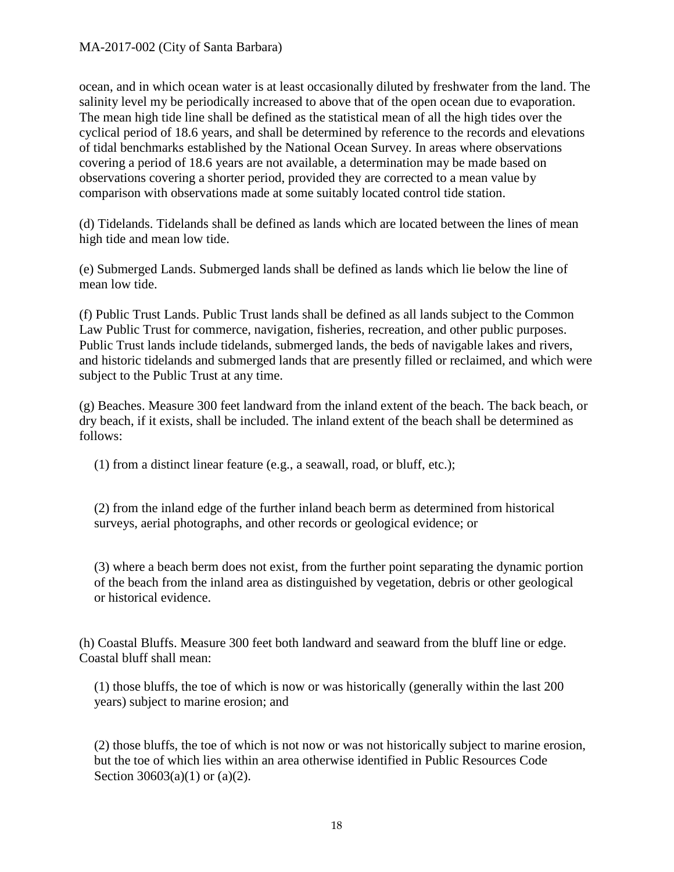ocean, and in which ocean water is at least occasionally diluted by freshwater from the land. The salinity level my be periodically increased to above that of the open ocean due to evaporation. The mean high tide line shall be defined as the statistical mean of all the high tides over the cyclical period of 18.6 years, and shall be determined by reference to the records and elevations of tidal benchmarks established by the National Ocean Survey. In areas where observations covering a period of 18.6 years are not available, a determination may be made based on observations covering a shorter period, provided they are corrected to a mean value by comparison with observations made at some suitably located control tide station.

(d) Tidelands. Tidelands shall be defined as lands which are located between the lines of mean high tide and mean low tide.

(e) Submerged Lands. Submerged lands shall be defined as lands which lie below the line of mean low tide.

(f) Public Trust Lands. Public Trust lands shall be defined as all lands subject to the Common Law Public Trust for commerce, navigation, fisheries, recreation, and other public purposes. Public Trust lands include tidelands, submerged lands, the beds of navigable lakes and rivers, and historic tidelands and submerged lands that are presently filled or reclaimed, and which were subject to the Public Trust at any time.

(g) Beaches. Measure 300 feet landward from the inland extent of the beach. The back beach, or dry beach, if it exists, shall be included. The inland extent of the beach shall be determined as follows:

(1) from a distinct linear feature (e.g., a seawall, road, or bluff, etc.);

(2) from the inland edge of the further inland beach berm as determined from historical surveys, aerial photographs, and other records or geological evidence; or

(3) where a beach berm does not exist, from the further point separating the dynamic portion of the beach from the inland area as distinguished by vegetation, debris or other geological or historical evidence.

(h) Coastal Bluffs. Measure 300 feet both landward and seaward from the bluff line or edge. Coastal bluff shall mean:

(1) those bluffs, the toe of which is now or was historically (generally within the last 200 years) subject to marine erosion; and

(2) those bluffs, the toe of which is not now or was not historically subject to marine erosion, but the toe of which lies within an area otherwise identified in Public Resources Code Section 30603(a)(1) or (a)(2).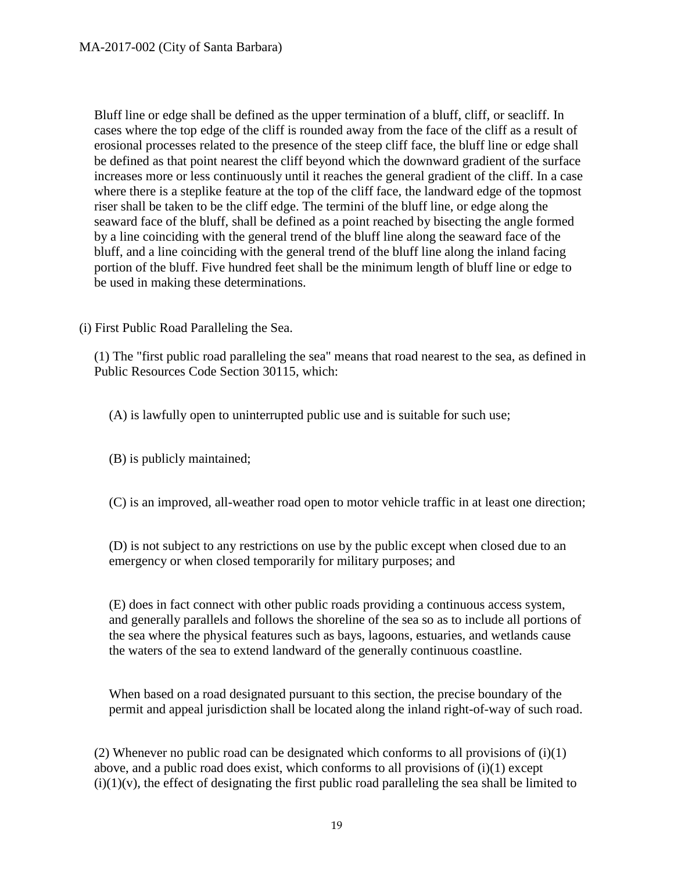Bluff line or edge shall be defined as the upper termination of a bluff, cliff, or seacliff. In cases where the top edge of the cliff is rounded away from the face of the cliff as a result of erosional processes related to the presence of the steep cliff face, the bluff line or edge shall be defined as that point nearest the cliff beyond which the downward gradient of the surface increases more or less continuously until it reaches the general gradient of the cliff. In a case where there is a steplike feature at the top of the cliff face, the landward edge of the topmost riser shall be taken to be the cliff edge. The termini of the bluff line, or edge along the seaward face of the bluff, shall be defined as a point reached by bisecting the angle formed by a line coinciding with the general trend of the bluff line along the seaward face of the bluff, and a line coinciding with the general trend of the bluff line along the inland facing portion of the bluff. Five hundred feet shall be the minimum length of bluff line or edge to be used in making these determinations.

(i) First Public Road Paralleling the Sea.

(1) The "first public road paralleling the sea" means that road nearest to the sea, as defined in Public Resources Code Section 30115, which:

(A) is lawfully open to uninterrupted public use and is suitable for such use;

(B) is publicly maintained;

(C) is an improved, all-weather road open to motor vehicle traffic in at least one direction;

(D) is not subject to any restrictions on use by the public except when closed due to an emergency or when closed temporarily for military purposes; and

(E) does in fact connect with other public roads providing a continuous access system, and generally parallels and follows the shoreline of the sea so as to include all portions of the sea where the physical features such as bays, lagoons, estuaries, and wetlands cause the waters of the sea to extend landward of the generally continuous coastline.

When based on a road designated pursuant to this section, the precise boundary of the permit and appeal jurisdiction shall be located along the inland right-of-way of such road.

(2) Whenever no public road can be designated which conforms to all provisions of  $(i)(1)$ above, and a public road does exist, which conforms to all provisions of (i)(1) except  $(i)(1)(v)$ , the effect of designating the first public road paralleling the sea shall be limited to